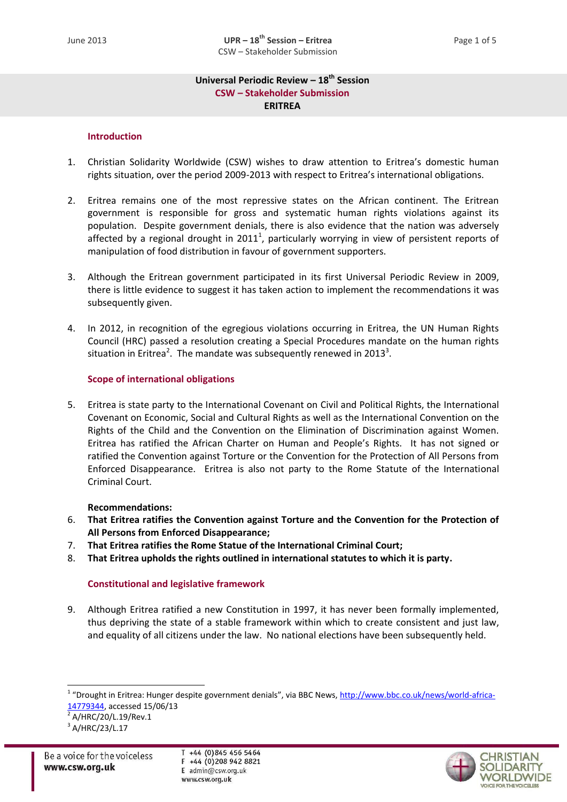# **Universal Periodic Review – 18th Session CSW – Stakeholder Submission ERITREA**

# **Introduction**

- 1. Christian Solidarity Worldwide (CSW) wishes to draw attention to Eritrea's domestic human rights situation, over the period 2009-2013 with respect to Eritrea's international obligations.
- 2. Eritrea remains one of the most repressive states on the African continent. The Eritrean government is responsible for gross and systematic human rights violations against its population. Despite government denials, there is also evidence that the nation was adversely affected by a regional drought in 2011<sup>1</sup>, particularly worrying in view of persistent reports of manipulation of food distribution in favour of government supporters.
- 3. Although the Eritrean government participated in its first Universal Periodic Review in 2009, there is little evidence to suggest it has taken action to implement the recommendations it was subsequently given.
- 4. In 2012, in recognition of the egregious violations occurring in Eritrea, the UN Human Rights Council (HRC) passed a resolution creating a Special Procedures mandate on the human rights situation in Eritrea<sup>2</sup>. The mandate was subsequently renewed in 2013<sup>3</sup>.

# **Scope of international obligations**

5. Eritrea is state party to the International Covenant on Civil and Political Rights, the International Covenant on Economic, Social and Cultural Rights as well as the International Convention on the Rights of the Child and the Convention on the Elimination of Discrimination against Women. Eritrea has ratified the African Charter on Human and People's Rights. It has not signed or ratified the Convention against Torture or the Convention for the Protection of All Persons from Enforced Disappearance. Eritrea is also not party to the Rome Statute of the International Criminal Court.

# **Recommendations:**

- 6. **That Eritrea ratifies the Convention against Torture and the Convention for the Protection of All Persons from Enforced Disappearance;**
- 7. **That Eritrea ratifies the Rome Statue of the International Criminal Court;**
- 8. **That Eritrea upholds the rights outlined in international statutes to which it is party.**

# **Constitutional and legislative framework**

9. Although Eritrea ratified a new Constitution in 1997, it has never been formally implemented, thus depriving the state of a stable framework within which to create consistent and just law, and equality of all citizens under the law. No national elections have been subsequently held.

<sup>2</sup> A/HRC/20/L.19/Rev.1

1



<sup>&</sup>lt;sup>1</sup> "Drought in Eritrea: Hunger despite government denials", via BBC News, <u>http://www.bbc.co.uk/news/world-africa-</u> [14779344,](http://www.bbc.co.uk/news/world-africa-14779344) accessed 15/06/13

<sup>3</sup> A/HRC/23/L.17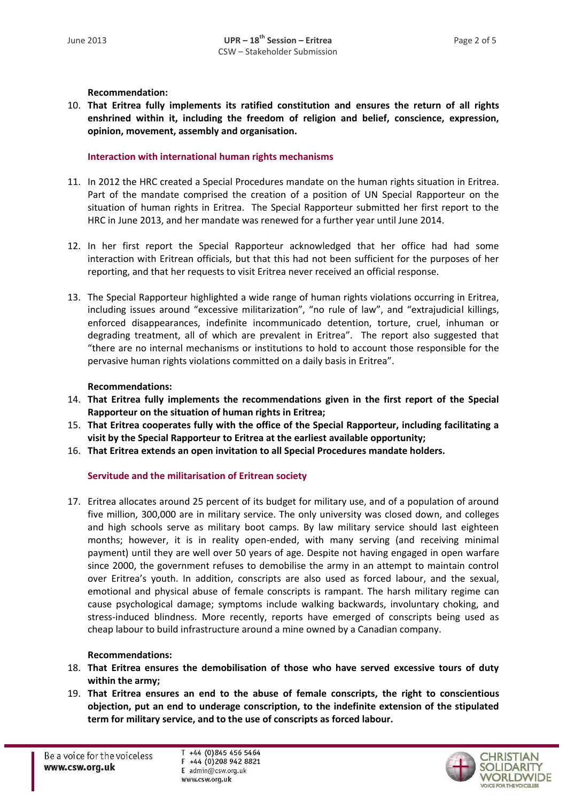**Recommendation:**

10. **That Eritrea fully implements its ratified constitution and ensures the return of all rights enshrined within it, including the freedom of religion and belief, conscience, expression, opinion, movement, assembly and organisation.**

# **Interaction with international human rights mechanisms**

- 11. In 2012 the HRC created a Special Procedures mandate on the human rights situation in Eritrea. Part of the mandate comprised the creation of a position of UN Special Rapporteur on the situation of human rights in Eritrea. The Special Rapporteur submitted her first report to the HRC in June 2013, and her mandate was renewed for a further year until June 2014.
- 12. In her first report the Special Rapporteur acknowledged that her office had had some interaction with Eritrean officials, but that this had not been sufficient for the purposes of her reporting, and that her requests to visit Eritrea never received an official response.
- 13. The Special Rapporteur highlighted a wide range of human rights violations occurring in Eritrea, including issues around "excessive militarization", "no rule of law", and "extrajudicial killings, enforced disappearances, indefinite incommunicado detention, torture, cruel, inhuman or degrading treatment, all of which are prevalent in Eritrea". The report also suggested that "there are no internal mechanisms or institutions to hold to account those responsible for the pervasive human rights violations committed on a daily basis in Eritrea".

# **Recommendations:**

- 14. **That Eritrea fully implements the recommendations given in the first report of the Special Rapporteur on the situation of human rights in Eritrea;**
- 15. **That Eritrea cooperates fully with the office of the Special Rapporteur, including facilitating a visit by the Special Rapporteur to Eritrea at the earliest available opportunity;**
- 16. **That Eritrea extends an open invitation to all Special Procedures mandate holders.**

# **Servitude and the militarisation of Eritrean society**

17. Eritrea allocates around 25 percent of its budget for military use, and of a population of around five million, 300,000 are in military service. The only university was closed down, and colleges and high schools serve as military boot camps. By law military service should last eighteen months; however, it is in reality open-ended, with many serving (and receiving minimal payment) until they are well over 50 years of age. Despite not having engaged in open warfare since 2000, the government refuses to demobilise the army in an attempt to maintain control over Eritrea's youth. In addition, conscripts are also used as forced labour, and the sexual, emotional and physical abuse of female conscripts is rampant. The harsh military regime can cause psychological damage; symptoms include walking backwards, involuntary choking, and stress-induced blindness. More recently, reports have emerged of conscripts being used as cheap labour to build infrastructure around a mine owned by a Canadian company.

# **Recommendations:**

- 18. **That Eritrea ensures the demobilisation of those who have served excessive tours of duty within the army;**
- 19. **That Eritrea ensures an end to the abuse of female conscripts, the right to conscientious objection, put an end to underage conscription, to the indefinite extension of the stipulated term for military service, and to the use of conscripts as forced labour.**

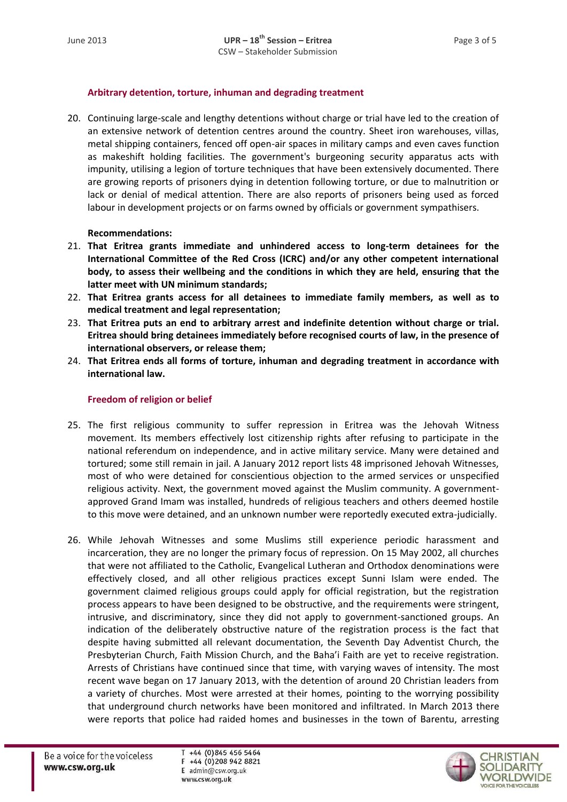# **Arbitrary detention, torture, inhuman and degrading treatment**

20. Continuing large-scale and lengthy detentions without charge or trial have led to the creation of an extensive network of detention centres around the country. Sheet iron warehouses, villas, metal shipping containers, fenced off open-air spaces in military camps and even caves function as makeshift holding facilities. The government's burgeoning security apparatus acts with impunity, utilising a legion of torture techniques that have been extensively documented. There are growing reports of prisoners dying in detention following torture, or due to malnutrition or lack or denial of medical attention. There are also reports of prisoners being used as forced labour in development projects or on farms owned by officials or government sympathisers.

# **Recommendations:**

- 21. **That Eritrea grants immediate and unhindered access to long-term detainees for the International Committee of the Red Cross (ICRC) and/or any other competent international body, to assess their wellbeing and the conditions in which they are held, ensuring that the latter meet with UN minimum standards;**
- 22. **That Eritrea grants access for all detainees to immediate family members, as well as to medical treatment and legal representation;**
- 23. **That Eritrea puts an end to arbitrary arrest and indefinite detention without charge or trial. Eritrea should bring detainees immediately before recognised courts of law, in the presence of international observers, or release them;**
- 24. **That Eritrea ends all forms of torture, inhuman and degrading treatment in accordance with international law.**

# **Freedom of religion or belief**

- 25. The first religious community to suffer repression in Eritrea was the Jehovah Witness movement. Its members effectively lost citizenship rights after refusing to participate in the national referendum on independence, and in active military service. Many were detained and tortured; some still remain in jail. A January 2012 report lists 48 imprisoned Jehovah Witnesses, most of who were detained for conscientious objection to the armed services or unspecified religious activity. Next, the government moved against the Muslim community. A governmentapproved Grand Imam was installed, hundreds of religious teachers and others deemed hostile to this move were detained, and an unknown number were reportedly executed extra-judicially.
- 26. While Jehovah Witnesses and some Muslims still experience periodic harassment and incarceration, they are no longer the primary focus of repression. On 15 May 2002, all churches that were not affiliated to the Catholic, Evangelical Lutheran and Orthodox denominations were effectively closed, and all other religious practices except Sunni Islam were ended. The government claimed religious groups could apply for official registration, but the registration process appears to have been designed to be obstructive, and the requirements were stringent, intrusive, and discriminatory, since they did not apply to government-sanctioned groups. An indication of the deliberately obstructive nature of the registration process is the fact that despite having submitted all relevant documentation, the Seventh Day Adventist Church, the Presbyterian Church, Faith Mission Church, and the Baha'i Faith are yet to receive registration. Arrests of Christians have continued since that time, with varying waves of intensity. The most recent wave began on 17 January 2013, with the detention of around 20 Christian leaders from a variety of churches. Most were arrested at their homes, pointing to the worrying possibility that underground church networks have been monitored and infiltrated. In March 2013 there were reports that police had raided homes and businesses in the town of Barentu, arresting

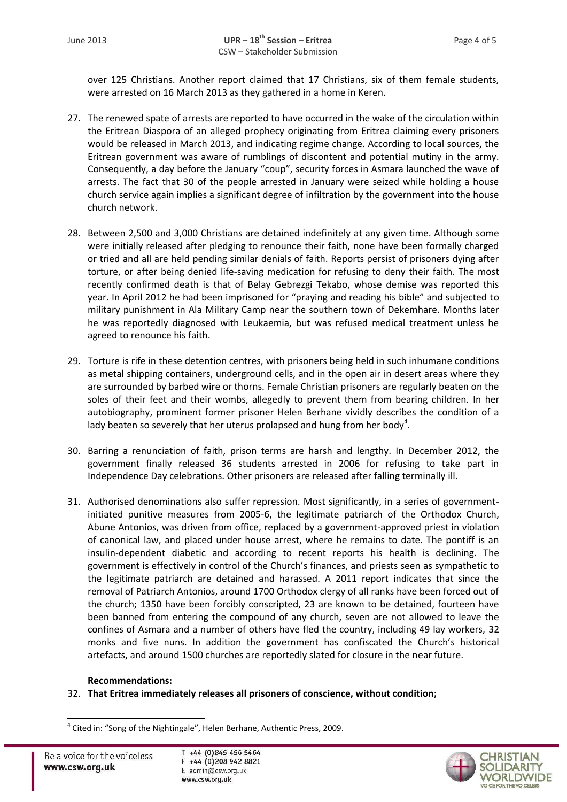over 125 Christians. Another report claimed that 17 Christians, six of them female students, were arrested on 16 March 2013 as they gathered in a home in Keren.

- 27. The renewed spate of arrests are reported to have occurred in the wake of the circulation within the Eritrean Diaspora of an alleged prophecy originating from Eritrea claiming every prisoners would be released in March 2013, and indicating regime change. According to local sources, the Eritrean government was aware of rumblings of discontent and potential mutiny in the army. Consequently, a day before the January "coup", security forces in Asmara launched the wave of arrests. The fact that 30 of the people arrested in January were seized while holding a house church service again implies a significant degree of infiltration by the government into the house church network.
- 28. Between 2,500 and 3,000 Christians are detained indefinitely at any given time. Although some were initially released after pledging to renounce their faith, none have been formally charged or tried and all are held pending similar denials of faith. Reports persist of prisoners dying after torture, or after being denied life-saving medication for refusing to deny their faith. The most recently confirmed death is that of Belay Gebrezgi Tekabo, whose demise was reported this year. In April 2012 he had been imprisoned for "praying and reading his bible" and subjected to military punishment in Ala Military Camp near the southern town of Dekemhare. Months later he was reportedly diagnosed with Leukaemia, but was refused medical treatment unless he agreed to renounce his faith.
- 29. Torture is rife in these detention centres, with prisoners being held in such inhumane conditions as metal shipping containers, underground cells, and in the open air in desert areas where they are surrounded by barbed wire or thorns. Female Christian prisoners are regularly beaten on the soles of their feet and their wombs, allegedly to prevent them from bearing children. In her autobiography, prominent former prisoner Helen Berhane vividly describes the condition of a lady beaten so severely that her uterus prolapsed and hung from her body<sup>4</sup>.
- 30. Barring a renunciation of faith, prison terms are harsh and lengthy. In December 2012, the government finally released 36 students arrested in 2006 for refusing to take part in Independence Day celebrations. Other prisoners are released after falling terminally ill.
- 31. Authorised denominations also suffer repression. Most significantly, in a series of governmentinitiated punitive measures from 2005-6, the legitimate patriarch of the Orthodox Church, Abune Antonios, was driven from office, replaced by a government-approved priest in violation of canonical law, and placed under house arrest, where he remains to date. The pontiff is an insulin-dependent diabetic and according to recent reports his health is declining. The government is effectively in control of the Church's finances, and priests seen as sympathetic to the legitimate patriarch are detained and harassed. A 2011 report indicates that since the removal of Patriarch Antonios, around 1700 Orthodox clergy of all ranks have been forced out of the church; 1350 have been forcibly conscripted, 23 are known to be detained, fourteen have been banned from entering the compound of any church, seven are not allowed to leave the confines of Asmara and a number of others have fled the country, including 49 lay workers, 32 monks and five nuns. In addition the government has confiscated the Church's historical artefacts, and around 1500 churches are reportedly slated for closure in the near future.

# **Recommendations:**

32. **That Eritrea immediately releases all prisoners of conscience, without condition;**

1



<sup>&</sup>lt;sup>4</sup> Cited in: "Song of the Nightingale", Helen Berhane, Authentic Press, 2009.